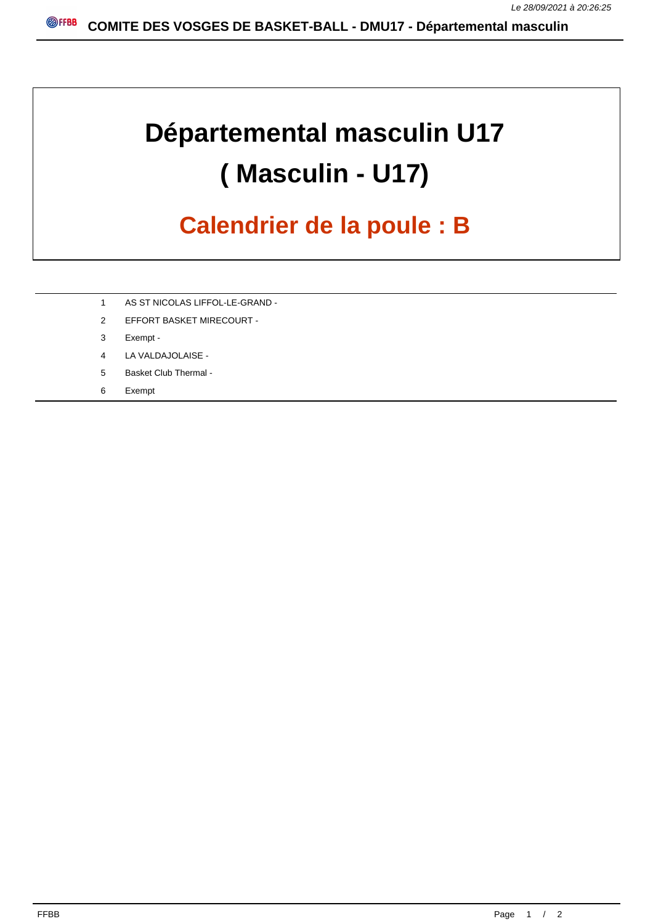## **Départemental masculin U17 ( Masculin - U17)**

## **Calendrier de la poule : B**

- 1 AS ST NICOLAS LIFFOL-LE-GRAND -
- 2 EFFORT BASKET MIRECOURT -
- 3 Exempt -
- 4 LA VALDAJOLAISE -
- 5 Basket Club Thermal -
- 6 Exempt